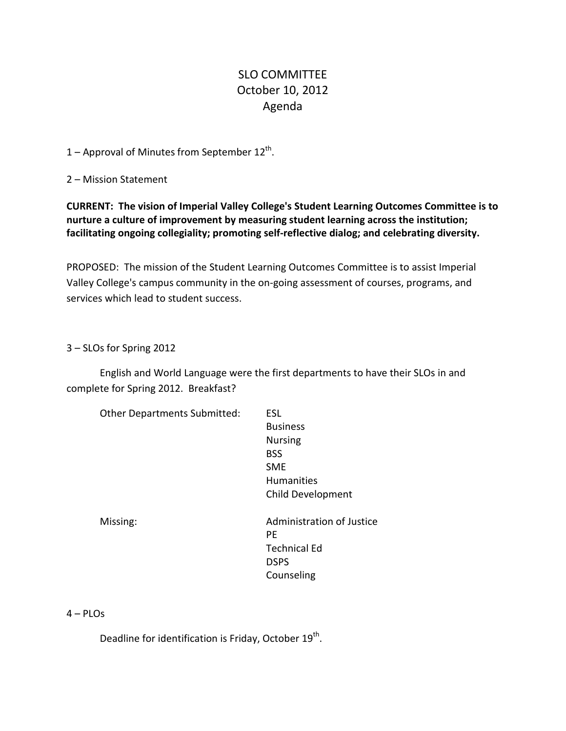# SLO COMMITTEE October 10, 2012 Agenda

1 – Approval of Minutes from September  $12^{th}$ .

2 – Mission Statement

**CURRENT: The vision of Imperial Valley College's Student Learning Outcomes Committee is to nurture a culture of improvement by measuring student learning across the institution; facilitating ongoing collegiality; promoting self-reflective dialog; and celebrating diversity.**

PROPOSED: The mission of the Student Learning Outcomes Committee is to assist Imperial Valley College's campus community in the on-going assessment of courses, programs, and services which lead to student success.

3 – SLOs for Spring 2012

English and World Language were the first departments to have their SLOs in and complete for Spring 2012. Breakfast?

| <b>Other Departments Submitted:</b> | <b>ESL</b>                |
|-------------------------------------|---------------------------|
|                                     | <b>Business</b>           |
|                                     | <b>Nursing</b>            |
|                                     | <b>BSS</b>                |
|                                     | <b>SME</b>                |
|                                     | <b>Humanities</b>         |
|                                     | <b>Child Development</b>  |
|                                     |                           |
| Missing:                            | Administration of Justice |
|                                     | РF                        |
|                                     | <b>Technical Ed</b>       |
|                                     | <b>DSPS</b>               |
|                                     | Counseling                |
|                                     |                           |

## 4 – PLOs

Deadline for identification is Friday, October 19<sup>th</sup>.